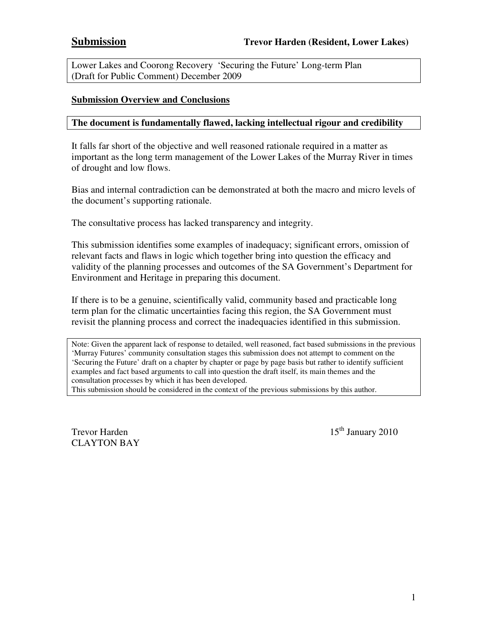Lower Lakes and Coorong Recovery 'Securing the Future' Long-term Plan (Draft for Public Comment) December 2009

#### **Submission Overview and Conclusions**

#### **The document is fundamentally flawed, lacking intellectual rigour and credibility**

It falls far short of the objective and well reasoned rationale required in a matter as important as the long term management of the Lower Lakes of the Murray River in times of drought and low flows.

Bias and internal contradiction can be demonstrated at both the macro and micro levels of the document's supporting rationale.

The consultative process has lacked transparency and integrity.

This submission identifies some examples of inadequacy; significant errors, omission of relevant facts and flaws in logic which together bring into question the efficacy and validity of the planning processes and outcomes of the SA Government's Department for Environment and Heritage in preparing this document.

If there is to be a genuine, scientifically valid, community based and practicable long term plan for the climatic uncertainties facing this region, the SA Government must revisit the planning process and correct the inadequacies identified in this submission.

Note: Given the apparent lack of response to detailed, well reasoned, fact based submissions in the previous 'Murray Futures' community consultation stages this submission does not attempt to comment on the 'Securing the Future' draft on a chapter by chapter or page by page basis but rather to identify sufficient examples and fact based arguments to call into question the draft itself, its main themes and the consultation processes by which it has been developed.

This submission should be considered in the context of the previous submissions by this author.

CLAYTON BAY

Trevor Harden  $15<sup>th</sup>$  January 2010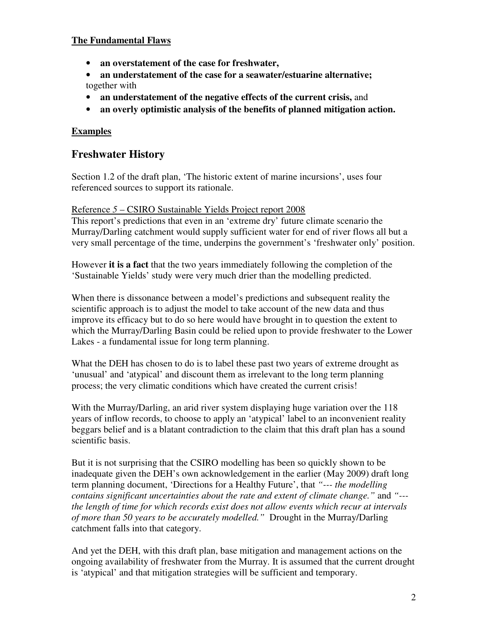### **The Fundamental Flaws**

- **an overstatement of the case for freshwater,**
- **an understatement of the case for a seawater/estuarine alternative;**  together with
- **an understatement of the negative effects of the current crisis,** and
- **an overly optimistic analysis of the benefits of planned mitigation action.**

## **Examples**

## **Freshwater History**

Section 1.2 of the draft plan, 'The historic extent of marine incursions', uses four referenced sources to support its rationale.

#### Reference *5* – CSIRO Sustainable Yields Project report 2008

This report's predictions that even in an 'extreme dry' future climate scenario the Murray/Darling catchment would supply sufficient water for end of river flows all but a very small percentage of the time, underpins the government's 'freshwater only' position.

However **it is a fact** that the two years immediately following the completion of the 'Sustainable Yields' study were very much drier than the modelling predicted.

When there is dissonance between a model's predictions and subsequent reality the scientific approach is to adjust the model to take account of the new data and thus improve its efficacy but to do so here would have brought in to question the extent to which the Murray/Darling Basin could be relied upon to provide freshwater to the Lower Lakes - a fundamental issue for long term planning.

What the DEH has chosen to do is to label these past two years of extreme drought as 'unusual' and 'atypical' and discount them as irrelevant to the long term planning process; the very climatic conditions which have created the current crisis!

With the Murray/Darling, an arid river system displaying huge variation over the 118 years of inflow records, to choose to apply an 'atypical' label to an inconvenient reality beggars belief and is a blatant contradiction to the claim that this draft plan has a sound scientific basis.

But it is not surprising that the CSIRO modelling has been so quickly shown to be inadequate given the DEH's own acknowledgement in the earlier (May 2009) draft long term planning document, 'Directions for a Healthy Future', that *"--- the modelling contains significant uncertainties about the rate and extent of climate change."* and *"-- the length of time for which records exist does not allow events which recur at intervals of more than 50 years to be accurately modelled."* Drought in the Murray/Darling catchment falls into that category.

And yet the DEH, with this draft plan, base mitigation and management actions on the ongoing availability of freshwater from the Murray. It is assumed that the current drought is 'atypical' and that mitigation strategies will be sufficient and temporary.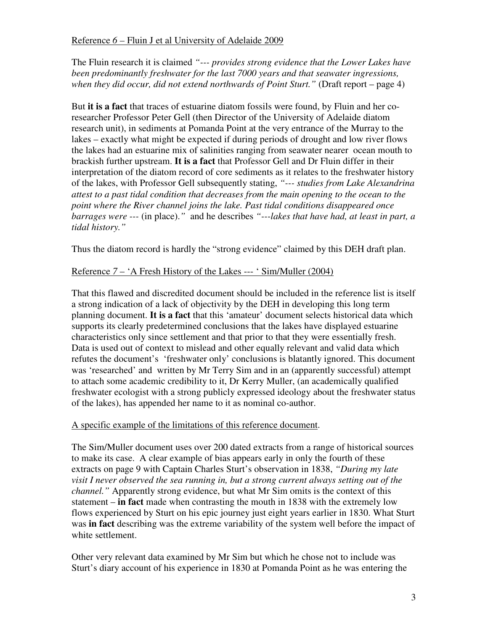The Fluin research it is claimed *"--- provides strong evidence that the Lower Lakes have been predominantly freshwater for the last 7000 years and that seawater ingressions, when they did occur, did not extend northwards of Point Sturt."* (Draft report – page 4)

But **it is a fact** that traces of estuarine diatom fossils were found, by Fluin and her coresearcher Professor Peter Gell (then Director of the University of Adelaide diatom research unit), in sediments at Pomanda Point at the very entrance of the Murray to the lakes – exactly what might be expected if during periods of drought and low river flows the lakes had an estuarine mix of salinities ranging from seawater nearer ocean mouth to brackish further upstream. **It is a fact** that Professor Gell and Dr Fluin differ in their interpretation of the diatom record of core sediments as it relates to the freshwater history of the lakes, with Professor Gell subsequently stating, *"--- studies from Lake Alexandrina attest to a past tidal condition that decreases from the main opening to the ocean to the point where the River channel joins the lake. Past tidal conditions disappeared once barrages were ---* (in place).*"* and he describes *"---lakes that have had, at least in part, a tidal history."* 

Thus the diatom record is hardly the "strong evidence" claimed by this DEH draft plan.

## Reference *7* – 'A Fresh History of the Lakes --- ' Sim/Muller (2004)

That this flawed and discredited document should be included in the reference list is itself a strong indication of a lack of objectivity by the DEH in developing this long term planning document. **It is a fact** that this 'amateur' document selects historical data which supports its clearly predetermined conclusions that the lakes have displayed estuarine characteristics only since settlement and that prior to that they were essentially fresh. Data is used out of context to mislead and other equally relevant and valid data which refutes the document's 'freshwater only' conclusions is blatantly ignored. This document was 'researched' and written by Mr Terry Sim and in an (apparently successful) attempt to attach some academic credibility to it, Dr Kerry Muller, (an academically qualified freshwater ecologist with a strong publicly expressed ideology about the freshwater status of the lakes), has appended her name to it as nominal co-author.

## A specific example of the limitations of this reference document.

The Sim/Muller document uses over 200 dated extracts from a range of historical sources to make its case. A clear example of bias appears early in only the fourth of these extracts on page 9 with Captain Charles Sturt's observation in 1838, *"During my late visit I never observed the sea running in, but a strong current always setting out of the channel."* Apparently strong evidence, but what Mr Sim omits is the context of this statement – **in fact** made when contrasting the mouth in 1838 with the extremely low flows experienced by Sturt on his epic journey just eight years earlier in 1830. What Sturt was **in fact** describing was the extreme variability of the system well before the impact of white settlement.

Other very relevant data examined by Mr Sim but which he chose not to include was Sturt's diary account of his experience in 1830 at Pomanda Point as he was entering the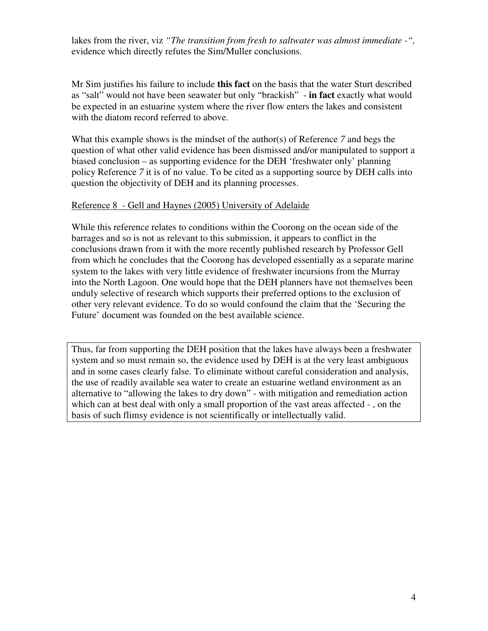lakes from the river, viz *"The transition from fresh to saltwater was almost immediate -",*  evidence which directly refutes the Sim/Muller conclusions.

Mr Sim justifies his failure to include **this fact** on the basis that the water Sturt described as "salt" would not have been seawater but only "brackish" - **in fact** exactly what would be expected in an estuarine system where the river flow enters the lakes and consistent with the diatom record referred to above.

What this example shows is the mindset of the author(s) of Reference *7* and begs the question of what other valid evidence has been dismissed and/or manipulated to support a biased conclusion – as supporting evidence for the DEH 'freshwater only' planning policy Reference *7* it is of no value. To be cited as a supporting source by DEH calls into question the objectivity of DEH and its planning processes.

#### Reference 8 - Gell and Haynes (2005) University of Adelaide

While this reference relates to conditions within the Coorong on the ocean side of the barrages and so is not as relevant to this submission, it appears to conflict in the conclusions drawn from it with the more recently published research by Professor Gell from which he concludes that the Coorong has developed essentially as a separate marine system to the lakes with very little evidence of freshwater incursions from the Murray into the North Lagoon. One would hope that the DEH planners have not themselves been unduly selective of research which supports their preferred options to the exclusion of other very relevant evidence. To do so would confound the claim that the 'Securing the Future' document was founded on the best available science.

Thus, far from supporting the DEH position that the lakes have always been a freshwater system and so must remain so, the evidence used by DEH is at the very least ambiguous and in some cases clearly false. To eliminate without careful consideration and analysis, the use of readily available sea water to create an estuarine wetland environment as an alternative to "allowing the lakes to dry down" - with mitigation and remediation action which can at best deal with only a small proportion of the vast areas affected - , on the basis of such flimsy evidence is not scientifically or intellectually valid.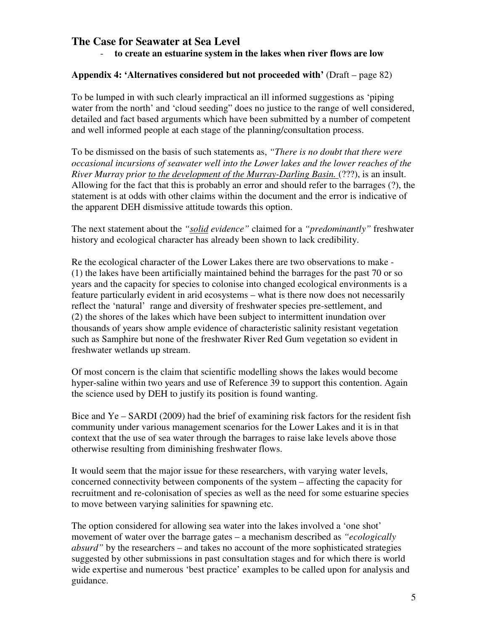## **The Case for Seawater at Sea Level**

- **to create an estuarine system in the lakes when river flows are low** 

### **Appendix 4: 'Alternatives considered but not proceeded with'** (Draft – page 82)

To be lumped in with such clearly impractical an ill informed suggestions as 'piping water from the north' and 'cloud seeding" does no justice to the range of well considered, detailed and fact based arguments which have been submitted by a number of competent and well informed people at each stage of the planning/consultation process.

To be dismissed on the basis of such statements as, *"There is no doubt that there were occasional incursions of seawater well into the Lower lakes and the lower reaches of the River Murray prior to the development of the Murray-Darling Basin.* (???), is an insult. Allowing for the fact that this is probably an error and should refer to the barrages (?), the statement is at odds with other claims within the document and the error is indicative of the apparent DEH dismissive attitude towards this option.

The next statement about the *"solid evidence"* claimed for a *"predominantly"* freshwater history and ecological character has already been shown to lack credibility.

Re the ecological character of the Lower Lakes there are two observations to make - (1) the lakes have been artificially maintained behind the barrages for the past 70 or so years and the capacity for species to colonise into changed ecological environments is a feature particularly evident in arid ecosystems – what is there now does not necessarily reflect the 'natural' range and diversity of freshwater species pre-settlement, and (2) the shores of the lakes which have been subject to intermittent inundation over thousands of years show ample evidence of characteristic salinity resistant vegetation such as Samphire but none of the freshwater River Red Gum vegetation so evident in freshwater wetlands up stream.

Of most concern is the claim that scientific modelling shows the lakes would become hyper-saline within two years and use of Reference 39 to support this contention. Again the science used by DEH to justify its position is found wanting.

Bice and Ye – SARDI (2009) had the brief of examining risk factors for the resident fish community under various management scenarios for the Lower Lakes and it is in that context that the use of sea water through the barrages to raise lake levels above those otherwise resulting from diminishing freshwater flows.

It would seem that the major issue for these researchers, with varying water levels, concerned connectivity between components of the system – affecting the capacity for recruitment and re-colonisation of species as well as the need for some estuarine species to move between varying salinities for spawning etc.

The option considered for allowing sea water into the lakes involved a 'one shot' movement of water over the barrage gates – a mechanism described as *"ecologically absurd"* by the researchers – and takes no account of the more sophisticated strategies suggested by other submissions in past consultation stages and for which there is world wide expertise and numerous 'best practice' examples to be called upon for analysis and guidance.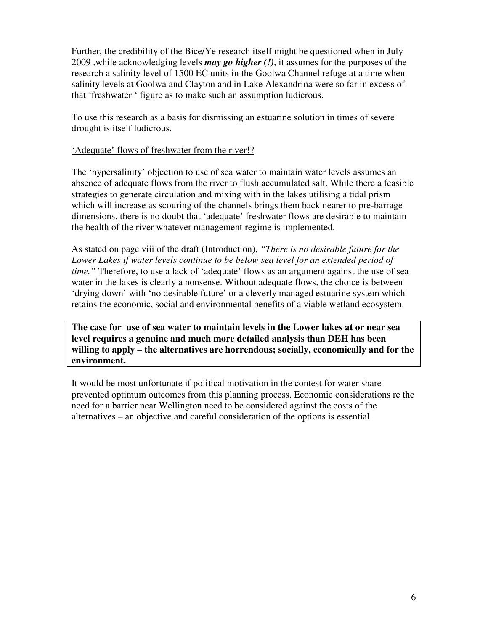Further, the credibility of the Bice/Ye research itself might be questioned when in July 2009 ,while acknowledging levels *may go higher (!)*, it assumes for the purposes of the research a salinity level of 1500 EC units in the Goolwa Channel refuge at a time when salinity levels at Goolwa and Clayton and in Lake Alexandrina were so far in excess of that 'freshwater ' figure as to make such an assumption ludicrous.

To use this research as a basis for dismissing an estuarine solution in times of severe drought is itself ludicrous.

### 'Adequate' flows of freshwater from the river!?

The 'hypersalinity' objection to use of sea water to maintain water levels assumes an absence of adequate flows from the river to flush accumulated salt. While there a feasible strategies to generate circulation and mixing with in the lakes utilising a tidal prism which will increase as scouring of the channels brings them back nearer to pre-barrage dimensions, there is no doubt that 'adequate' freshwater flows are desirable to maintain the health of the river whatever management regime is implemented.

As stated on page viii of the draft (Introduction), *"There is no desirable future for the*  Lower Lakes if water levels continue to be below sea level for an extended period of *time.*" Therefore, to use a lack of 'adequate' flows as an argument against the use of sea water in the lakes is clearly a nonsense. Without adequate flows, the choice is between 'drying down' with 'no desirable future' or a cleverly managed estuarine system which retains the economic, social and environmental benefits of a viable wetland ecosystem.

**The case for use of sea water to maintain levels in the Lower lakes at or near sea level requires a genuine and much more detailed analysis than DEH has been willing to apply – the alternatives are horrendous; socially, economically and for the environment.** 

It would be most unfortunate if political motivation in the contest for water share prevented optimum outcomes from this planning process. Economic considerations re the need for a barrier near Wellington need to be considered against the costs of the alternatives – an objective and careful consideration of the options is essential.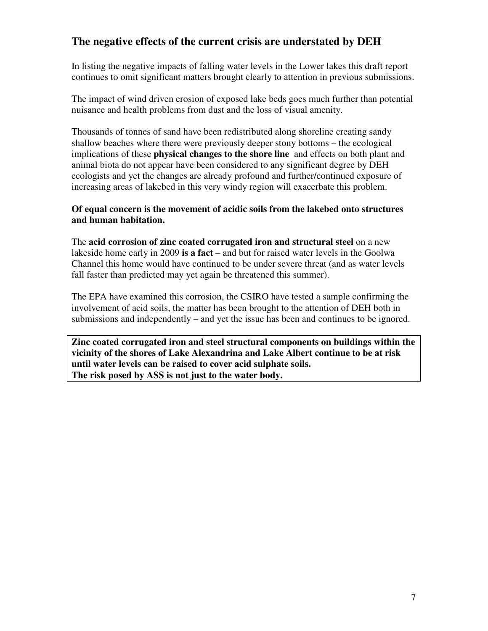## **The negative effects of the current crisis are understated by DEH**

In listing the negative impacts of falling water levels in the Lower lakes this draft report continues to omit significant matters brought clearly to attention in previous submissions.

The impact of wind driven erosion of exposed lake beds goes much further than potential nuisance and health problems from dust and the loss of visual amenity.

Thousands of tonnes of sand have been redistributed along shoreline creating sandy shallow beaches where there were previously deeper stony bottoms – the ecological implications of these **physical changes to the shore line** and effects on both plant and animal biota do not appear have been considered to any significant degree by DEH ecologists and yet the changes are already profound and further/continued exposure of increasing areas of lakebed in this very windy region will exacerbate this problem.

#### **Of equal concern is the movement of acidic soils from the lakebed onto structures and human habitation.**

The **acid corrosion of zinc coated corrugated iron and structural steel** on a new lakeside home early in 2009 **is a fact** – and but for raised water levels in the Goolwa Channel this home would have continued to be under severe threat (and as water levels fall faster than predicted may yet again be threatened this summer).

The EPA have examined this corrosion, the CSIRO have tested a sample confirming the involvement of acid soils, the matter has been brought to the attention of DEH both in submissions and independently – and yet the issue has been and continues to be ignored.

**Zinc coated corrugated iron and steel structural components on buildings within the vicinity of the shores of Lake Alexandrina and Lake Albert continue to be at risk until water levels can be raised to cover acid sulphate soils. The risk posed by ASS is not just to the water body.**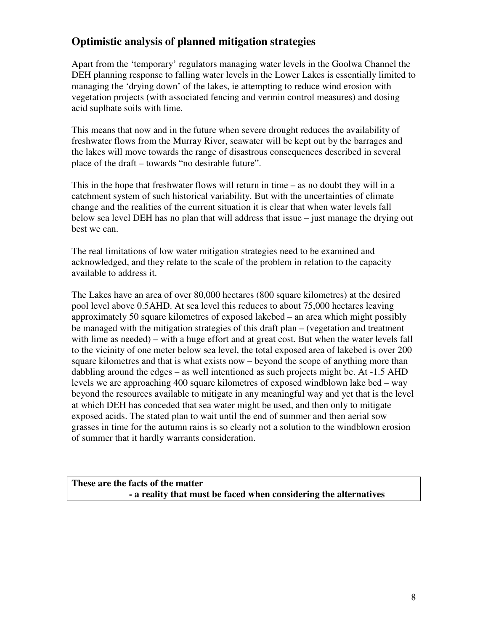## **Optimistic analysis of planned mitigation strategies**

Apart from the 'temporary' regulators managing water levels in the Goolwa Channel the DEH planning response to falling water levels in the Lower Lakes is essentially limited to managing the 'drying down' of the lakes, ie attempting to reduce wind erosion with vegetation projects (with associated fencing and vermin control measures) and dosing acid suplhate soils with lime.

This means that now and in the future when severe drought reduces the availability of freshwater flows from the Murray River, seawater will be kept out by the barrages and the lakes will move towards the range of disastrous consequences described in several place of the draft – towards "no desirable future".

This in the hope that freshwater flows will return in time – as no doubt they will in a catchment system of such historical variability. But with the uncertainties of climate change and the realities of the current situation it is clear that when water levels fall below sea level DEH has no plan that will address that issue – just manage the drying out best we can.

The real limitations of low water mitigation strategies need to be examined and acknowledged, and they relate to the scale of the problem in relation to the capacity available to address it.

The Lakes have an area of over 80,000 hectares (800 square kilometres) at the desired pool level above 0.5AHD. At sea level this reduces to about 75,000 hectares leaving approximately 50 square kilometres of exposed lakebed – an area which might possibly be managed with the mitigation strategies of this draft plan – (vegetation and treatment with lime as needed) – with a huge effort and at great cost. But when the water levels fall to the vicinity of one meter below sea level, the total exposed area of lakebed is over 200 square kilometres and that is what exists now – beyond the scope of anything more than dabbling around the edges – as well intentioned as such projects might be. At -1.5 AHD levels we are approaching 400 square kilometres of exposed windblown lake bed – way beyond the resources available to mitigate in any meaningful way and yet that is the level at which DEH has conceded that sea water might be used, and then only to mitigate exposed acids. The stated plan to wait until the end of summer and then aerial sow grasses in time for the autumn rains is so clearly not a solution to the windblown erosion of summer that it hardly warrants consideration.

### **These are the facts of the matter - a reality that must be faced when considering the alternatives**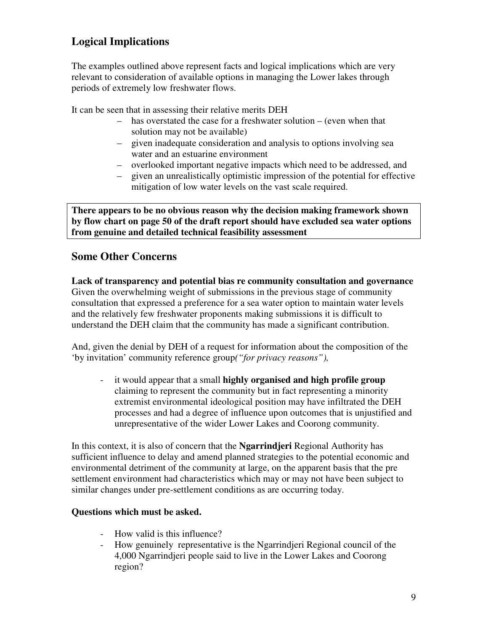# **Logical Implications**

The examples outlined above represent facts and logical implications which are very relevant to consideration of available options in managing the Lower lakes through periods of extremely low freshwater flows.

It can be seen that in assessing their relative merits DEH

- has overstated the case for a freshwater solution (even when that solution may not be available)
- given inadequate consideration and analysis to options involving sea water and an estuarine environment
- overlooked important negative impacts which need to be addressed, and
- given an unrealistically optimistic impression of the potential for effective mitigation of low water levels on the vast scale required.

**There appears to be no obvious reason why the decision making framework shown by flow chart on page 50 of the draft report should have excluded sea water options from genuine and detailed technical feasibility assessment** 

## **Some Other Concerns**

**Lack of transparency and potential bias re community consultation and governance**  Given the overwhelming weight of submissions in the previous stage of community consultation that expressed a preference for a sea water option to maintain water levels and the relatively few freshwater proponents making submissions it is difficult to understand the DEH claim that the community has made a significant contribution.

And, given the denial by DEH of a request for information about the composition of the 'by invitation' community reference group*("for privacy reasons"),*

- it would appear that a small **highly organised and high profile group** claiming to represent the community but in fact representing a minority extremist environmental ideological position may have infiltrated the DEH processes and had a degree of influence upon outcomes that is unjustified and unrepresentative of the wider Lower Lakes and Coorong community.

In this context, it is also of concern that the **Ngarrindjeri** Regional Authority has sufficient influence to delay and amend planned strategies to the potential economic and environmental detriment of the community at large, on the apparent basis that the pre settlement environment had characteristics which may or may not have been subject to similar changes under pre-settlement conditions as are occurring today.

## **Questions which must be asked.**

- How valid is this influence?
- How genuinely representative is the Ngarrindjeri Regional council of the 4,000 Ngarrindjeri people said to live in the Lower Lakes and Coorong region?